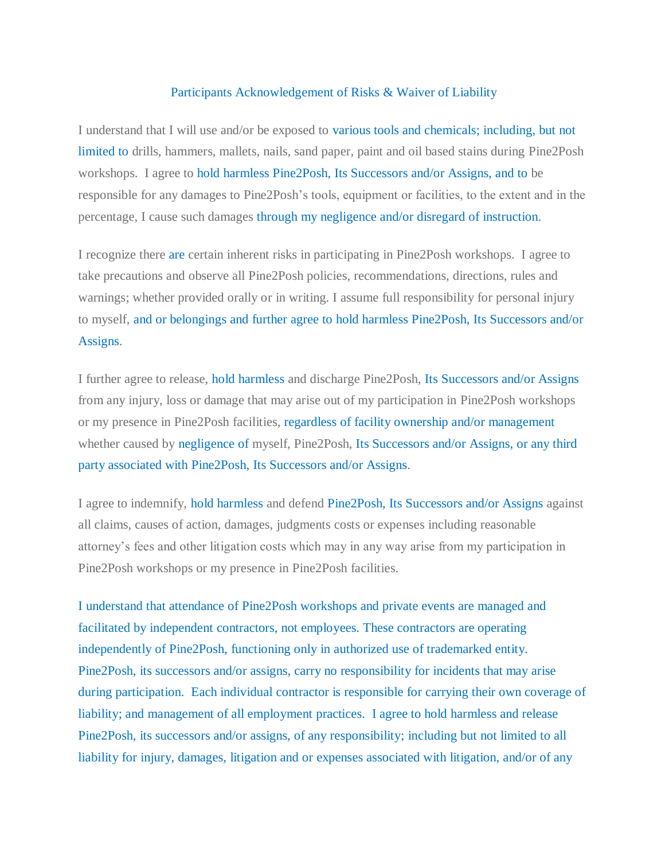## Participants Acknowledgement of Risks & Waiver of Liability

I understand that I will use and/or be exposed to various tools and chemicals; including, but not limited to drills, hammers, mallets, nails, sand paper, paint and oil based stains during Pine2Posh workshops. I agree to hold harmless Pine2Posh, Its Successors and/or Assigns, and to be responsible for any damages to Pine2Posh's tools, equipment or facilities, to the extent and in the percentage, I cause such damages through my negligence and/or disregard of instruction.

I recognize there are certain inherent risks in participating in Pine2Posh workshops. I agree to take precautions and observe all Pine2Posh policies, recommendations, directions, rules and warnings; whether provided orally or in writing. I assume full responsibility for personal injury to myself, and or belongings and further agree to hold harmless Pine2Posh, Its Successors and/or Assigns.

I further agree to release, hold harmless and discharge Pine2Posh, Its Successors and/or Assigns from any injury, loss or damage that may arise out of my participation in Pine2Posh workshops or my presence in Pine2Posh facilities, regardless of facility ownership and/or management whether caused by negligence of myself, Pine2Posh, Its Successors and/or Assigns, or any third party associated with Pine2Posh, Its Successors and/or Assigns.

I agree to indemnify, hold harmless and defend Pine2Posh, Its Successors and/or Assigns against all claims, causes of action, damages, judgments costs or expenses including reasonable attorney's fees and other litigation costs which may in any way arise from my participation in Pine2Posh workshops or my presence in Pine2Posh facilities.

I understand that attendance of Pine2Posh workshops and private events are managed and facilitated by independent contractors, not employees. These contractors are operating independently of Pine2Posh, functioning only in authorized use of trademarked entity. Pine2Posh, its successors and/or assigns, carry no responsibility for incidents that may arise during participation. Each individual contractor is responsible for carrying their own coverage of liability; and management of all employment practices. I agree to hold harmless and release Pine2Posh, its successors and/or assigns, of any responsibility; including but not limited to all liability for injury, damages, litigation and or expenses associated with litigation, and/or of any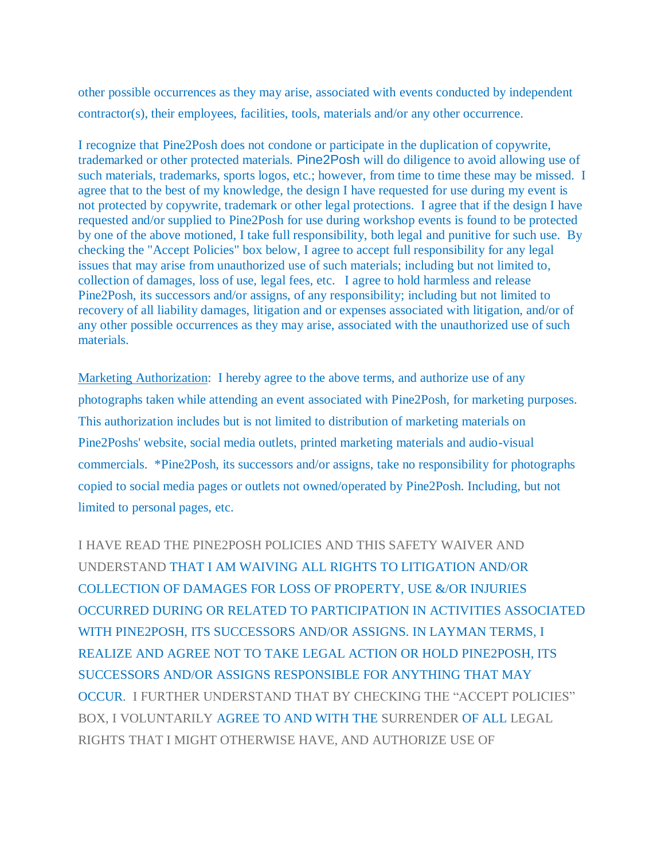other possible occurrences as they may arise, associated with events conducted by independent contractor(s), their employees, facilities, tools, materials and/or any other occurrence.

I recognize that Pine2Posh does not condone or participate in the duplication of copywrite, trademarked or other protected materials. Pine2Posh will do diligence to avoid allowing use of such materials, trademarks, sports logos, etc.; however, from time to time these may be missed. I agree that to the best of my knowledge, the design I have requested for use during my event is not protected by copywrite, trademark or other legal protections. I agree that if the design I have requested and/or supplied to Pine2Posh for use during workshop events is found to be protected by one of the above motioned, I take full responsibility, both legal and punitive for such use. By checking the "Accept Policies" box below, I agree to accept full responsibility for any legal issues that may arise from unauthorized use of such materials; including but not limited to, collection of damages, loss of use, legal fees, etc. I agree to hold harmless and release Pine2Posh, its successors and/or assigns, of any responsibility; including but not limited to recovery of all liability damages, litigation and or expenses associated with litigation, and/or of any other possible occurrences as they may arise, associated with the unauthorized use of such materials.

Marketing Authorization: I hereby agree to the above terms, and authorize use of any photographs taken while attending an event associated with Pine2Posh, for marketing purposes. This authorization includes but is not limited to distribution of marketing materials on Pine2Poshs' website, social media outlets, printed marketing materials and audio-visual commercials. \*Pine2Posh, its successors and/or assigns, take no responsibility for photographs copied to social media pages or outlets not owned/operated by Pine2Posh. Including, but not limited to personal pages, etc.

I HAVE READ THE PINE2POSH POLICIES AND THIS SAFETY WAIVER AND UNDERSTAND THAT I AM WAIVING ALL RIGHTS TO LITIGATION AND/OR COLLECTION OF DAMAGES FOR LOSS OF PROPERTY, USE &/OR INJURIES OCCURRED DURING OR RELATED TO PARTICIPATION IN ACTIVITIES ASSOCIATED WITH PINE2POSH, ITS SUCCESSORS AND/OR ASSIGNS. IN LAYMAN TERMS, I REALIZE AND AGREE NOT TO TAKE LEGAL ACTION OR HOLD PINE2POSH, ITS SUCCESSORS AND/OR ASSIGNS RESPONSIBLE FOR ANYTHING THAT MAY OCCUR. I FURTHER UNDERSTAND THAT BY CHECKING THE "ACCEPT POLICIES" BOX, I VOLUNTARILY AGREE TO AND WITH THE SURRENDER OF ALL LEGAL RIGHTS THAT I MIGHT OTHERWISE HAVE, AND AUTHORIZE USE OF